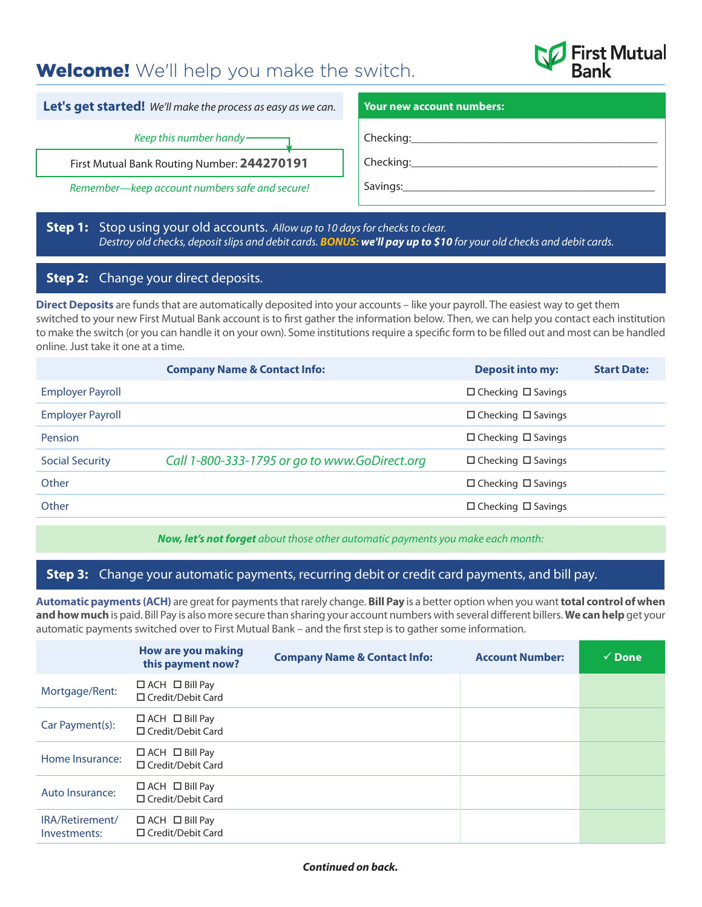# **Welcome!** We'll help you make the switch.



**Let's get started!** *We'll make the process as easy as we can.*

*Keep this number handy*

First Mutual Bank Routing Number: **244270191**

*Remember—keep account numbers safe and secure!*

### **Your new account numbers:**

Checking:

Checking:

Savings:

## **Step 1:** Stop using your old accounts. *Allow up to 10 days for checks to clear. Destroy old checks, deposit slips and debit cards. BONUS: we'll pay up to \$10 for your old checks and debit cards.*

# **Step 2:** Change your direct deposits.

**Direct Deposits** are funds that are automatically deposited into your accounts – like your payroll. The easiest way to get them switched to your new First Mutual Bank account is to first gather the information below. Then, we can help you contact each institution to make the switch (or you can handle it on your own). Some institutions require a specific form to be filled out and most can be handled online. Just take it one at a time.

|                         | <b>Company Name &amp; Contact Info:</b>       | <b>Deposit into my:</b>        | <b>Start Date:</b> |
|-------------------------|-----------------------------------------------|--------------------------------|--------------------|
| <b>Employer Payroll</b> |                                               | $\Box$ Checking $\Box$ Savings |                    |
| <b>Employer Payroll</b> |                                               | $\Box$ Checking $\Box$ Savings |                    |
| Pension                 |                                               | $\Box$ Checking $\Box$ Savings |                    |
| <b>Social Security</b>  | Call 1-800-333-1795 or go to www.GoDirect.org | $\Box$ Checking $\Box$ Savings |                    |
| Other                   |                                               | $\Box$ Checking $\Box$ Savings |                    |
| Other                   |                                               | $\Box$ Checking $\Box$ Savings |                    |

*Now, let's not forget about those other automatic payments you make each month:*

# **Step 3:** Change your automatic payments, recurring debit or credit card payments, and bill pay.

**Automatic payments (ACH)** are great for payments that rarely change. **Bill Pay** is a better option when you want **total control of when and how much** is paid. Bill Pay is also more secure than sharing your account numbers with several different billers. **We can help** get your automatic payments switched over to First Mutual Bank – and the first step is to gather some information.

|                                 | <b>How are you making</b><br>this payment now?         | <b>Company Name &amp; Contact Info:</b> | <b>Account Number:</b> | $\checkmark$ Done |
|---------------------------------|--------------------------------------------------------|-----------------------------------------|------------------------|-------------------|
| Mortgage/Rent:                  | $\Box$ ACH $\Box$ Bill Pay<br>□ Credit/Debit Card      |                                         |                        |                   |
| Car Payment(s):                 | $\Box$ ACH $\Box$ Bill Pay<br>$\Box$ Credit/Debit Card |                                         |                        |                   |
| Home Insurance:                 | $\Box$ ACH $\Box$ Bill Pay<br>□ Credit/Debit Card      |                                         |                        |                   |
| Auto Insurance:                 | $\Box$ ACH $\Box$ Bill Pay<br>$\Box$ Credit/Debit Card |                                         |                        |                   |
| IRA/Retirement/<br>Investments: | $\Box$ ACH $\Box$ Bill Pay<br>$\Box$ Credit/Debit Card |                                         |                        |                   |